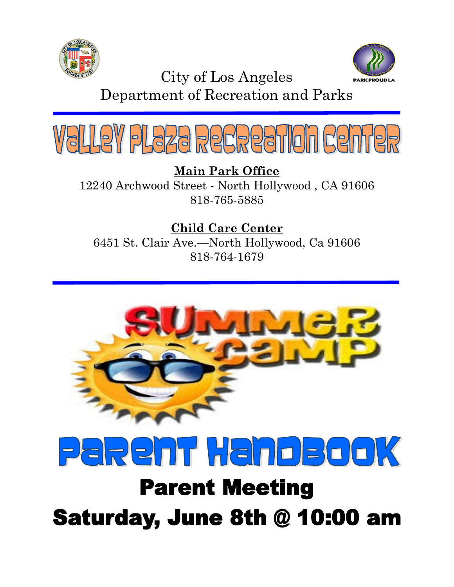



City of Los Angeles

Department of Recreation and Parks



**Main Park Office** 12240 Archwood Street - North Hollywood , CA 91606 818-765-5885

**Child Care Center** 6451 St. Clair Ave.—North Hollywood, Ca 91606 818-764-1679





# **Parent Meeting Saturday, June 8th @ 10:00 am**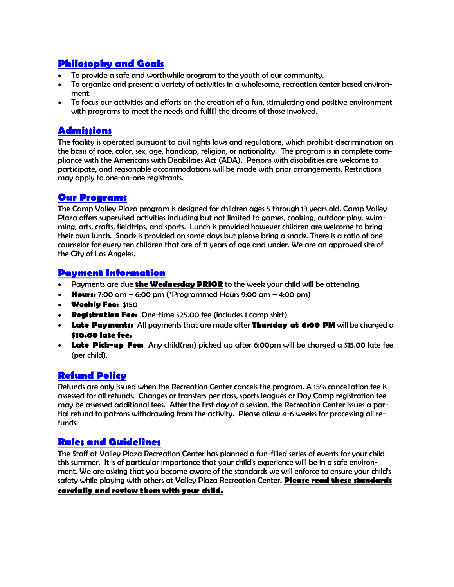#### **Philosophy and Goals**

- To provide a safe and worthwhile program to the youth of our community.
- To organize and present a variety of activities in a wholesome, recreation center based environment.
- To focus our activities and efforts on the creation of a fun, stimulating and positive environment with programs to meet the needs and fulfill the dreams of those involved.

#### **Admissions**

The facility is operated pursuant to civil rights laws and regulations, which prohibit discrimination on the basis of race, color, sex, age, handicap, religion, or nationality. The program is in complete compliance with the Americans with Disabilities Act (ADA). Persons with disabilities are welcome to participate, and reasonable accommodations will be made with prior arrangements. Restrictions may apply to one-on-one registrants.

#### **Our Programs**

The Camp Valley Plaza program is designed for children ages 5 through 13 years old. Camp Valley Plaza offers supervised activities including but not limited to games, cooking, outdoor play, swimming, arts, crafts, fieldtrips, and sports. Lunch is provided however children are welcome to bring their own lunch. Snack is provided on some days but please bring a snack. There is a ratio of one counselor for every ten children that are of 11 years of age and under. We are an approved site of the City of Los Angeles.

#### **Payment Information**

- Payments are due **the Wednesday PRIOR** to the week your child will be attending.
- **Hours:** 7:00 am 6:00 pm (\*Programmed Hours 9:00 am 4:00 pm)
- **Weekly Fee:** \$150
- **Registration Fee:** One-time \$25.00 fee (includes 1 camp shirt)
- **Late Payments:** All payments that are made after **Thursday at 6:00 PM** will be charged a **\$10.00 late fee.**
- **Late Pick-up Fee:** Any child(ren) picked up after 6:00pm will be charged a \$15.00 late fee (per child).

### **Refund Policy**

Refunds are only issued when the Recreation Center cancels the program. A 15% cancellation fee is assessed for all refunds. Changes or transfers per class, sports leagues or Day Camp registration fee may be assessed additional fees. After the first day of a session, the Recreation Center issues a partial refund to patrons withdrawing from the activity. Please allow 4-6 weeks for processing all refunds.

#### **Rules and Guidelines**

The Staff at Valley Plaza Recreation Center has planned a fun-filled series of events for your child this summer. It is of particular importance that your child's experience will be in a safe environment. We are asking that you become aware of the standards we will enforce to ensure your child's safety while playing with others at Valley Plaza Recreation Center. **Please read these standards** 

#### **carefully and review them with your child.**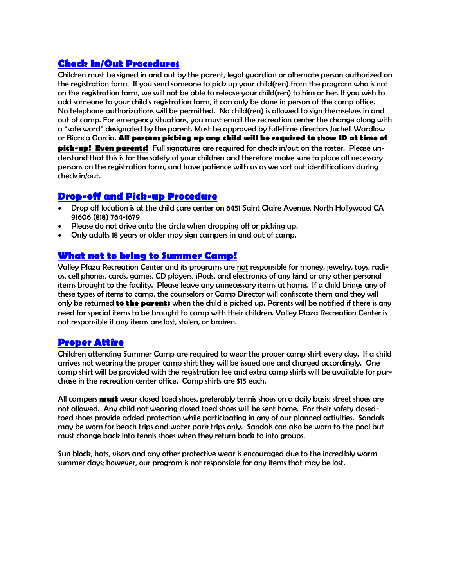#### **Check In/Out Procedures**

Children must be signed in and out by the parent, legal guardian or alternate person authorized on the registration form. If you send someone to pick up your child(ren) from the program who is not on the registration form, we will not be able to release your child(ren) to him or her. If you wish to add someone to your child's registration form, it can only be done in person at the camp office. No telephone authorizations will be permitted. No child(ren) is allowed to sign themselves in and out of camp. For emergency situations, you must email the recreation center the change along with a "safe word" designated by the parent. Must be approved by full-time directors Juchell Wardlow or Bianca Garcia. **All persons picking up any child will be required to show ID at time of pick-up! Even parents!** Full signatures are required for check in/out on the roster. Please understand that this is for the safety of your children and therefore make sure to place all necessary persons on the registration form, and have patience with us as we sort out identifications during check in/out.

#### **Drop-off and Pick-up Procedure**

- Drop off location is at the child care center on 6451 Saint Claire Avenue, North Hollywood CA 91606 (818) 764-1679
- Please do not drive onto the circle when dropping off or picking up.
- Only adults 18 years or older may sign campers in and out of camp.

### **What not to bring to Summer Camp!**

Valley Plaza Recreation Center and its programs are not responsible for money, jewelry, toys, radios, cell phones, cards, games, CD players, iPods, and electronics of any kind or any other personal items brought to the facility. Please leave any unnecessary items at home. If a child brings any of these types of items to camp, the counselors or Camp Director will confiscate them and they will only be returned **to the parents** when the child is picked up. Parents will be notified if there is any need for special items to be brought to camp with their children. Valley Plaza Recreation Center is not responsible if any items are lost, stolen, or broken.

#### **Proper Attire**

Children attending Summer Camp are required to wear the proper camp shirt every day. If a child arrives not wearing the proper camp shirt they will be issued one and charged accordingly. One camp shirt will be provided with the registration fee and extra camp shirts will be available for purchase in the recreation center office. Camp shirts are \$15 each.

All campers **must** wear closed toed shoes, preferably tennis shoes on a daily basis; street shoes are not allowed. Any child not wearing closed toed shoes will be sent home. For their safety closedtoed shoes provide added protection while participating in any of our planned activities. Sandals may be worn for beach trips and water park trips only. Sandals can also be worn to the pool but must change back into tennis shoes when they return back to into groups.

Sun block, hats, visors and any other protective wear is encouraged due to the incredibly warm summer days; however, our program is not responsible for any items that may be lost.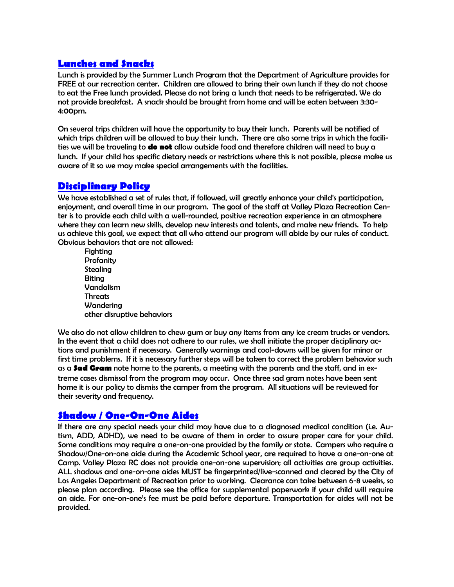#### **Lunches and Snacks**

Lunch is provided by the Summer Lunch Program that the Department of Agriculture provides for FREE at our recreation center. Children are allowed to bring their own lunch if they do not choose to eat the Free lunch provided. Please do not bring a lunch that needs to be refrigerated. We do not provide breakfast. A snack should be brought from home and will be eaten between 3:30- 4:00pm.

On several trips children will have the opportunity to buy their lunch. Parents will be notified of which trips children will be allowed to buy their lunch. There are also some trips in which the facilities we will be traveling to **do not** allow outside food and therefore children will need to buy a lunch. If your child has specific dietary needs or restrictions where this is not possible, please make us aware of it so we may make special arrangements with the facilities.

#### **Disciplinary Policy**

We have established a set of rules that, if followed, will greatly enhance your child's participation, enjoyment, and overall time in our program. The goal of the staff at Valley Plaza Recreation Center is to provide each child with a well-rounded, positive recreation experience in an atmosphere where they can learn new skills, develop new interests and talents, and make new friends. To help us achieve this goal, we expect that all who attend our program will abide by our rules of conduct. Obvious behaviors that are not allowed:

**Fighting Profanity** Stealing Biting Vandalism Threats **Wandering** other disruptive behaviors

We also do not allow children to chew gum or buy any items from any ice cream trucks or vendors. In the event that a child does not adhere to our rules, we shall initiate the proper disciplinary actions and punishment if necessary. Generally warnings and cool-downs will be given for minor or first time problems. If it is necessary further steps will be taken to correct the problem behavior such as a **Sad Gram** note home to the parents, a meeting with the parents and the staff, and in extreme cases dismissal from the program may occur. Once three sad gram notes have been sent home it is our policy to dismiss the camper from the program. All situations will be reviewed for their severity and frequency.

#### **Shadow / One-On-One Aides**

If there are any special needs your child may have due to a diagnosed medical condition (i.e. Autism, ADD, ADHD), we need to be aware of them in order to assure proper care for your child. Some conditions may require a one-on-one provided by the family or state. Campers who require a Shadow/One-on-one aide during the Academic School year, are required to have a one-on-one at Camp. Valley Plaza RC does not provide one-on-one supervision; all activities are group activities. ALL shadows and one-on-one aides MUST be fingerprinted/live-scanned and cleared by the City of Los Angeles Department of Recreation prior to working. Clearance can take between 6-8 weeks, so please plan according. Please see the office for supplemental paperwork if your child will require an aide. For one-on-one's fee must be paid before departure. Transportation for aides will not be provided.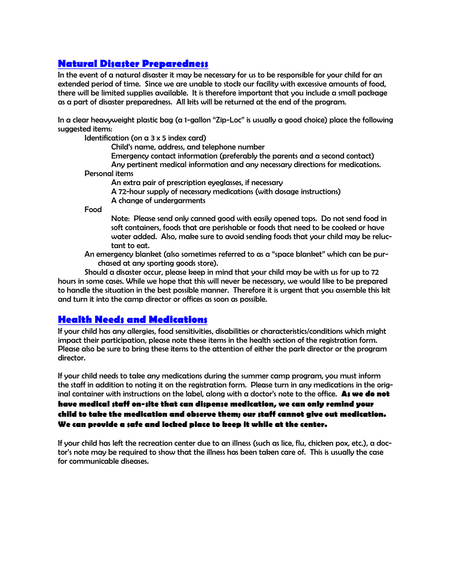#### **Natural Disaster Preparedness**

In the event of a natural disaster it may be necessary for us to be responsible for your child for an extended period of time. Since we are unable to stock our facility with excessive amounts of food, there will be limited supplies available. It is therefore important that you include a small package as a part of disaster preparedness. All kits will be returned at the end of the program.

In a clear heavyweight plastic bag (a 1-gallon "Zip-Loc" is usually a good choice) place the following suggested items:

Identification (on  $a$  3  $x$  5 index card)

Child's name, address, and telephone number Emergency contact information (preferably the parents and a second contact) Any pertinent medical information and any necessary directions for medications. Personal items An extra pair of prescription eyeglasses, if necessary A 72-hour supply of necessary medications (with dosage instructions)

A change of undergarments

Food

Note: Please send only canned good with easily opened tops. Do not send food in soft containers, foods that are perishable or foods that need to be cooked or have water added. Also, make sure to avoid sending foods that your child may be reluctant to eat.

An emergency blanket (also sometimes referred to as a "space blanket" which can be purchased at any sporting goods store).

Should a disaster occur, please keep in mind that your child may be with us for up to 72 hours in some cases. While we hope that this will never be necessary, we would like to be prepared to handle the situation in the best possible manner. Therefore it is urgent that you assemble this kit and turn it into the camp director or offices as soon as possible.

#### **Health Needs and Medications**

If your child has any allergies, food sensitivities, disabilities or characteristics/conditions which might impact their participation, please note these items in the health section of the registration form. Please also be sure to bring these items to the attention of either the park director or the program director.

If your child needs to take any medications during the summer camp program, you must inform the staff in addition to noting it on the registration form. Please turn in any medications in the original container with instructions on the label, along with a doctor's note to the office. **As we do not have medical staff on-site that can dispense medication, we can only remind your child to take the medication and observe them; our staff cannot give out medication. We can provide a safe and locked place to keep it while at the center.**

If your child has left the recreation center due to an illness (such as lice, flu, chicken pox, etc.), a doctor's note may be required to show that the illness has been taken care of. This is usually the case for communicable diseases.